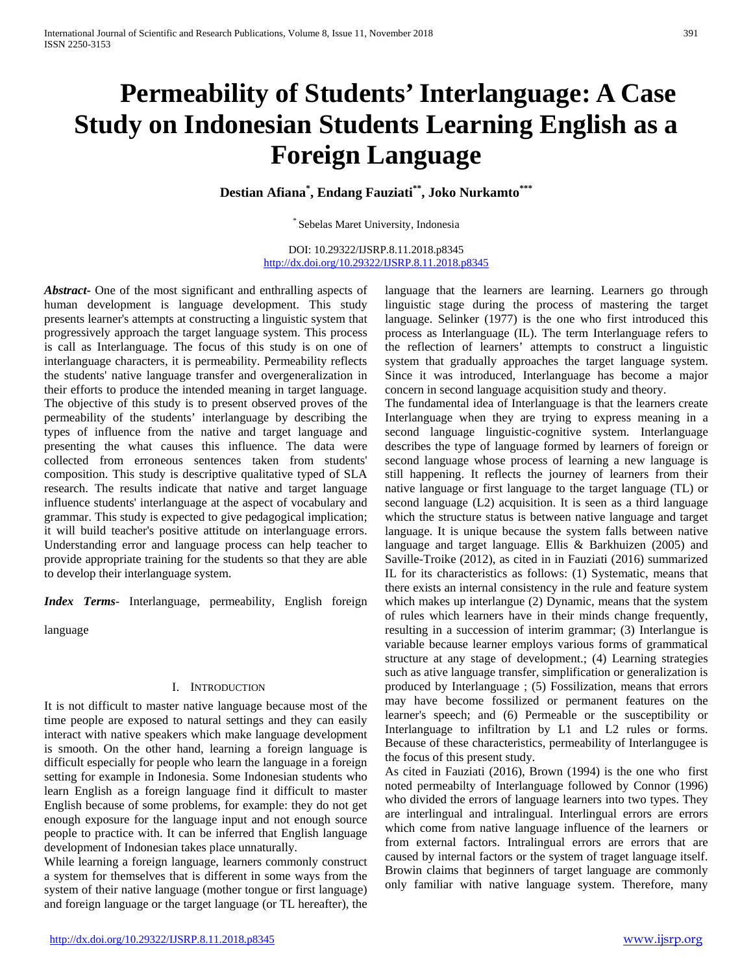# **Permeability of Students' Interlanguage: A Case Study on Indonesian Students Learning English as a Foreign Language**

**Destian Afiana\* , Endang Fauziati\*\*, Joko Nurkamto\*\*\***

\* Sebelas Maret University, Indonesia

DOI: 10.29322/IJSRP.8.11.2018.p8345 <http://dx.doi.org/10.29322/IJSRP.8.11.2018.p8345>

*Abstract***-** One of the most significant and enthralling aspects of human development is language development. This study presents learner's attempts at constructing a linguistic system that progressively approach the target language system. This process is call as Interlanguage. The focus of this study is on one of interlanguage characters, it is permeability. Permeability reflects the students' native language transfer and overgeneralization in their efforts to produce the intended meaning in target language. The objective of this study is to present observed proves of the permeability of the students' interlanguage by describing the types of influence from the native and target language and presenting the what causes this influence. The data were collected from erroneous sentences taken from students' composition. This study is descriptive qualitative typed of SLA research. The results indicate that native and target language influence students' interlanguage at the aspect of vocabulary and grammar. This study is expected to give pedagogical implication; it will build teacher's positive attitude on interlanguage errors. Understanding error and language process can help teacher to provide appropriate training for the students so that they are able to develop their interlanguage system.

*Index Terms*- Interlanguage, permeability, English foreign

language

### I. INTRODUCTION

It is not difficult to master native language because most of the time people are exposed to natural settings and they can easily interact with native speakers which make language development is smooth. On the other hand, learning a foreign language is difficult especially for people who learn the language in a foreign setting for example in Indonesia. Some Indonesian students who learn English as a foreign language find it difficult to master English because of some problems, for example: they do not get enough exposure for the language input and not enough source people to practice with. It can be inferred that English language development of Indonesian takes place unnaturally.

While learning a foreign language, learners commonly construct a system for themselves that is different in some ways from the system of their native language (mother tongue or first language) and foreign language or the target language (or TL hereafter), the

language that the learners are learning. Learners go through linguistic stage during the process of mastering the target language. Selinker (1977) is the one who first introduced this process as Interlanguage (IL). The term Interlanguage refers to the reflection of learners' attempts to construct a linguistic system that gradually approaches the target language system. Since it was introduced, Interlanguage has become a major concern in second language acquisition study and theory.

The fundamental idea of Interlanguage is that the learners create Interlanguage when they are trying to express meaning in a second language linguistic-cognitive system. Interlanguage describes the type of language formed by learners of foreign or second language whose process of learning a new language is still happening. It reflects the journey of learners from their native language or first language to the target language (TL) or second language (L2) acquisition. It is seen as a third language which the structure status is between native language and target language. It is unique because the system falls between native language and target language. Ellis & Barkhuizen (2005) and Saville-Troike (2012), as cited in in Fauziati (2016) summarized IL for its characteristics as follows: (1) Systematic, means that there exists an internal consistency in the rule and feature system which makes up interlangue (2) Dynamic, means that the system of rules which learners have in their minds change frequently, resulting in a succession of interim grammar; (3) Interlangue is variable because learner employs various forms of grammatical structure at any stage of development.; (4) Learning strategies such as ative language transfer, simplification or generalization is produced by Interlanguage ; (5) Fossilization, means that errors may have become fossilized or permanent features on the learner's speech; and (6) Permeable or the susceptibility or Interlanguage to infiltration by L1 and L2 rules or forms. Because of these characteristics, permeability of Interlangugee is the focus of this present study.

As cited in Fauziati (2016), Brown (1994) is the one who first noted permeabilty of Interlanguage followed by Connor (1996) who divided the errors of language learners into two types. They are interlingual and intralingual. Interlingual errors are errors which come from native language influence of the learners or from external factors. Intralingual errors are errors that are caused by internal factors or the system of traget language itself. Browin claims that beginners of target language are commonly only familiar with native language system. Therefore, many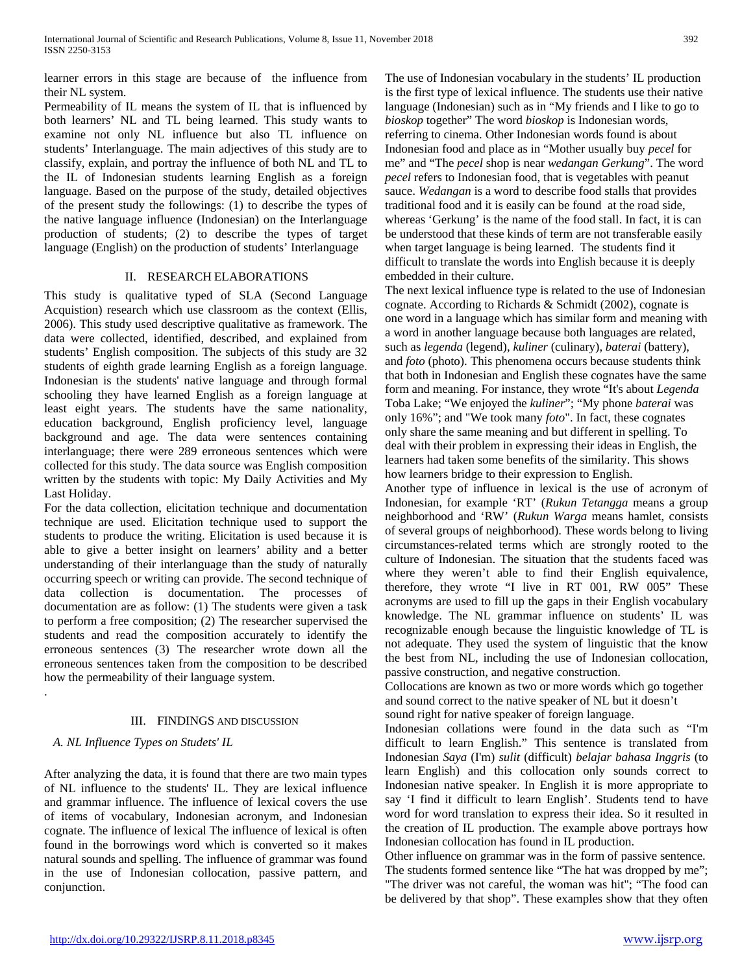learner errors in this stage are because of the influence from their NL system.

Permeability of IL means the system of IL that is influenced by both learners' NL and TL being learned. This study wants to examine not only NL influence but also TL influence on students' Interlanguage. The main adjectives of this study are to classify, explain, and portray the influence of both NL and TL to the IL of Indonesian students learning English as a foreign language. Based on the purpose of the study, detailed objectives of the present study the followings: (1) to describe the types of the native language influence (Indonesian) on the Interlanguage production of students; (2) to describe the types of target language (English) on the production of students' Interlanguage

#### II. RESEARCH ELABORATIONS

This study is qualitative typed of SLA (Second Language Acquistion) research which use classroom as the context (Ellis, 2006). This study used descriptive qualitative as framework. The data were collected, identified, described, and explained from students' English composition. The subjects of this study are 32 students of eighth grade learning English as a foreign language. Indonesian is the students' native language and through formal schooling they have learned English as a foreign language at least eight years. The students have the same nationality, education background, English proficiency level, language background and age. The data were sentences containing interlanguage; there were 289 erroneous sentences which were collected for this study. The data source was English composition written by the students with topic: My Daily Activities and My Last Holiday.

For the data collection, elicitation technique and documentation technique are used. Elicitation technique used to support the students to produce the writing. Elicitation is used because it is able to give a better insight on learners' ability and a better understanding of their interlanguage than the study of naturally occurring speech or writing can provide. The second technique of data collection is documentation. The processes of documentation are as follow: (1) The students were given a task to perform a free composition; (2) The researcher supervised the students and read the composition accurately to identify the erroneous sentences (3) The researcher wrote down all the erroneous sentences taken from the composition to be described how the permeability of their language system.

# III. FINDINGS AND DISCUSSION

# *A. NL Influence Types on Studets' IL*

.

After analyzing the data, it is found that there are two main types of NL influence to the students' IL. They are lexical influence and grammar influence. The influence of lexical covers the use of items of vocabulary, Indonesian acronym, and Indonesian cognate. The influence of lexical The influence of lexical is often found in the borrowings word which is converted so it makes natural sounds and spelling. The influence of grammar was found in the use of Indonesian collocation, passive pattern, and conjunction.

The use of Indonesian vocabulary in the students' IL production is the first type of lexical influence. The students use their native language (Indonesian) such as in "My friends and I like to go to *bioskop* together" The word *bioskop* is Indonesian words, referring to cinema. Other Indonesian words found is about Indonesian food and place as in "Mother usually buy *pecel* for me" and "The *pecel* shop is near *wedangan Gerkung*". The word *pecel* refers to Indonesian food, that is vegetables with peanut sauce. *Wedangan* is a word to describe food stalls that provides traditional food and it is easily can be found at the road side, whereas 'Gerkung' is the name of the food stall. In fact, it is can be understood that these kinds of term are not transferable easily when target language is being learned. The students find it difficult to translate the words into English because it is deeply embedded in their culture.

The next lexical influence type is related to the use of Indonesian cognate. According to Richards & Schmidt (2002), cognate is one word in a language which has similar form and meaning with a word in another language because both languages are related, such as *legenda* (legend), *kuliner* (culinary), *baterai* (battery), and *foto* (photo). This phenomena occurs because students think that both in Indonesian and English these cognates have the same form and meaning. For instance, they wrote "It's about *Legenda* Toba Lake; "We enjoyed the *kuliner*"; "My phone *baterai* was only 16%"; and "We took many *foto*". In fact, these cognates only share the same meaning and but different in spelling. To deal with their problem in expressing their ideas in English, the learners had taken some benefits of the similarity. This shows how learners bridge to their expression to English.

Another type of influence in lexical is the use of acronym of Indonesian, for example 'RT' (*Rukun Tetangga* means a group neighborhood and 'RW' (*Rukun Warga* means hamlet, consists of several groups of neighborhood). These words belong to living circumstances-related terms which are strongly rooted to the culture of Indonesian. The situation that the students faced was where they weren't able to find their English equivalence, therefore, they wrote "I live in RT 001, RW 005" These acronyms are used to fill up the gaps in their English vocabulary knowledge. The NL grammar influence on students' IL was recognizable enough because the linguistic knowledge of TL is not adequate. They used the system of linguistic that the know the best from NL, including the use of Indonesian collocation, passive construction, and negative construction.

Collocations are known as two or more words which go together and sound correct to the native speaker of NL but it doesn't sound right for native speaker of foreign language.

Indonesian collations were found in the data such as "I'm difficult to learn English." This sentence is translated from Indonesian *Saya* (I'm) *sulit* (difficult) *belajar bahasa Inggris* (to learn English) and this collocation only sounds correct to Indonesian native speaker. In English it is more appropriate to say 'I find it difficult to learn English'. Students tend to have word for word translation to express their idea. So it resulted in the creation of IL production. The example above portrays how Indonesian collocation has found in IL production.

Other influence on grammar was in the form of passive sentence. The students formed sentence like "The hat was dropped by me"; "The driver was not careful, the woman was hit"; "The food can be delivered by that shop". These examples show that they often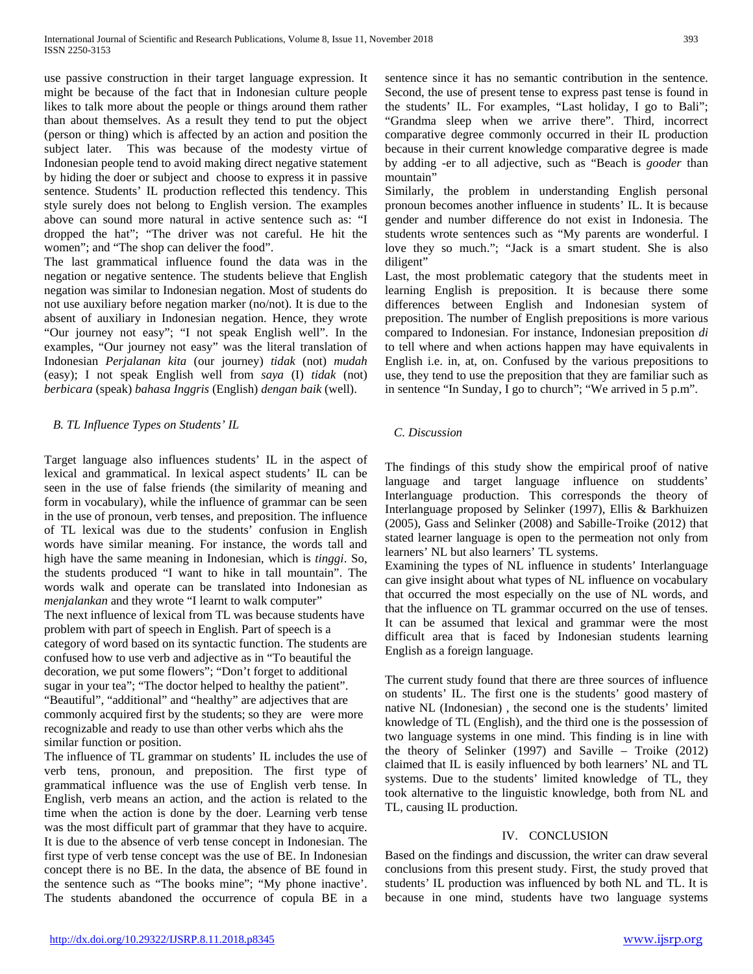use passive construction in their target language expression. It might be because of the fact that in Indonesian culture people likes to talk more about the people or things around them rather than about themselves. As a result they tend to put the object (person or thing) which is affected by an action and position the subject later. This was because of the modesty virtue of Indonesian people tend to avoid making direct negative statement by hiding the doer or subject and choose to express it in passive sentence. Students' IL production reflected this tendency. This style surely does not belong to English version. The examples above can sound more natural in active sentence such as: "I dropped the hat"; "The driver was not careful. He hit the women"; and "The shop can deliver the food".

The last grammatical influence found the data was in the negation or negative sentence. The students believe that English negation was similar to Indonesian negation. Most of students do not use auxiliary before negation marker (no/not). It is due to the absent of auxiliary in Indonesian negation. Hence, they wrote "Our journey not easy"; "I not speak English well". In the examples, "Our journey not easy" was the literal translation of Indonesian *Perjalanan kita* (our journey) *tidak* (not) *mudah* (easy); I not speak English well from *saya* (I) *tidak* (not) *berbicara* (speak) *bahasa Inggris* (English) *dengan baik* (well).

#### *B. TL Influence Types on Students' IL*

Target language also influences students' IL in the aspect of lexical and grammatical. In lexical aspect students' IL can be seen in the use of false friends (the similarity of meaning and form in vocabulary), while the influence of grammar can be seen in the use of pronoun, verb tenses, and preposition. The influence of TL lexical was due to the students' confusion in English words have similar meaning. For instance, the words tall and high have the same meaning in Indonesian, which is *tinggi*. So, the students produced "I want to hike in tall mountain". The words walk and operate can be translated into Indonesian as *menjalankan* and they wrote "I learnt to walk computer" The next influence of lexical from TL was because students have problem with part of speech in English. Part of speech is a category of word based on its syntactic function. The students are confused how to use verb and adjective as in "To beautiful the decoration, we put some flowers"; "Don't forget to additional sugar in your tea"; "The doctor helped to healthy the patient". "Beautiful", "additional" and "healthy" are adjectives that are commonly acquired first by the students; so they are were more recognizable and ready to use than other verbs which ahs the similar function or position.

The influence of TL grammar on students' IL includes the use of verb tens, pronoun, and preposition. The first type of grammatical influence was the use of English verb tense. In English, verb means an action, and the action is related to the time when the action is done by the doer. Learning verb tense was the most difficult part of grammar that they have to acquire. It is due to the absence of verb tense concept in Indonesian. The first type of verb tense concept was the use of BE. In Indonesian concept there is no BE. In the data, the absence of BE found in the sentence such as "The books mine"; "My phone inactive'. The students abandoned the occurrence of copula BE in a sentence since it has no semantic contribution in the sentence. Second, the use of present tense to express past tense is found in the students' IL. For examples, "Last holiday, I go to Bali"; "Grandma sleep when we arrive there". Third, incorrect comparative degree commonly occurred in their IL production because in their current knowledge comparative degree is made by adding -er to all adjective, such as "Beach is *gooder* than mountain"

Similarly, the problem in understanding English personal pronoun becomes another influence in students' IL. It is because gender and number difference do not exist in Indonesia. The students wrote sentences such as "My parents are wonderful. I love they so much."; "Jack is a smart student. She is also diligent"

Last, the most problematic category that the students meet in learning English is preposition. It is because there some differences between English and Indonesian system of preposition. The number of English prepositions is more various compared to Indonesian. For instance, Indonesian preposition *di*  to tell where and when actions happen may have equivalents in English i.e. in, at, on. Confused by the various prepositions to use, they tend to use the preposition that they are familiar such as in sentence "In Sunday, I go to church"; "We arrived in 5 p.m".

#### *C. Discussion*

The findings of this study show the empirical proof of native language and target language influence on studdents' Interlanguage production. This corresponds the theory of Interlanguage proposed by Selinker (1997), Ellis & Barkhuizen (2005), Gass and Selinker (2008) and Sabille-Troike (2012) that stated learner language is open to the permeation not only from learners' NL but also learners' TL systems.

Examining the types of NL influence in students' Interlanguage can give insight about what types of NL influence on vocabulary that occurred the most especially on the use of NL words, and that the influence on TL grammar occurred on the use of tenses. It can be assumed that lexical and grammar were the most difficult area that is faced by Indonesian students learning English as a foreign language.

The current study found that there are three sources of influence on students' IL. The first one is the students' good mastery of native NL (Indonesian) , the second one is the students' limited knowledge of TL (English), and the third one is the possession of two language systems in one mind. This finding is in line with the theory of Selinker (1997) and Saville – Troike (2012) claimed that IL is easily influenced by both learners' NL and TL systems. Due to the students' limited knowledge of TL, they took alternative to the linguistic knowledge, both from NL and TL, causing IL production.

#### IV. CONCLUSION

Based on the findings and discussion, the writer can draw several conclusions from this present study. First, the study proved that students' IL production was influenced by both NL and TL. It is because in one mind, students have two language systems